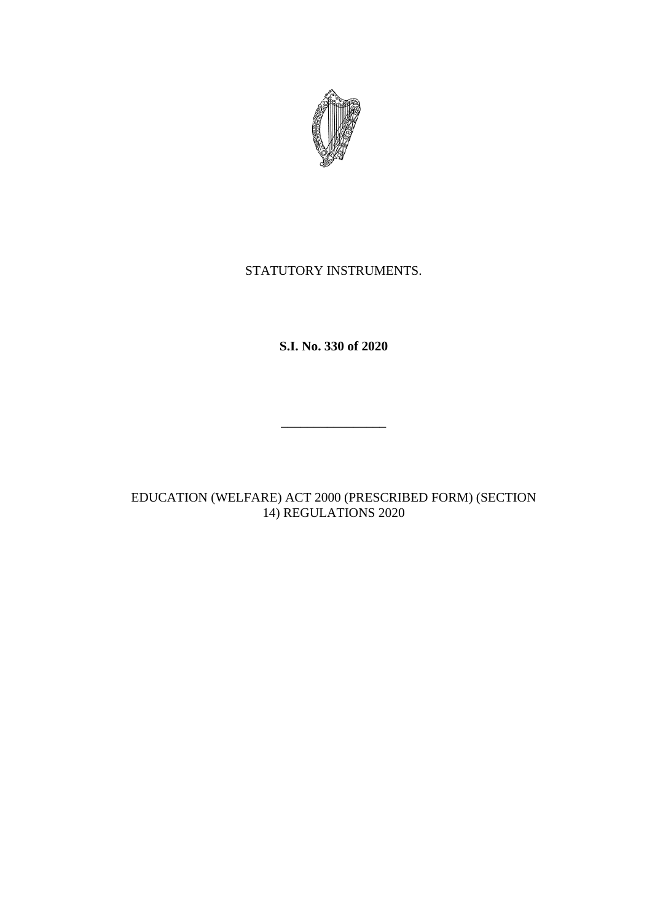

## STATUTORY INSTRUMENTS.

**S.I. No. 330 of 2020**

\_\_\_\_\_\_\_\_\_\_\_\_\_\_\_\_

EDUCATION (WELFARE) ACT 2000 (PRESCRIBED FORM) (SECTION 14) REGULATIONS 2020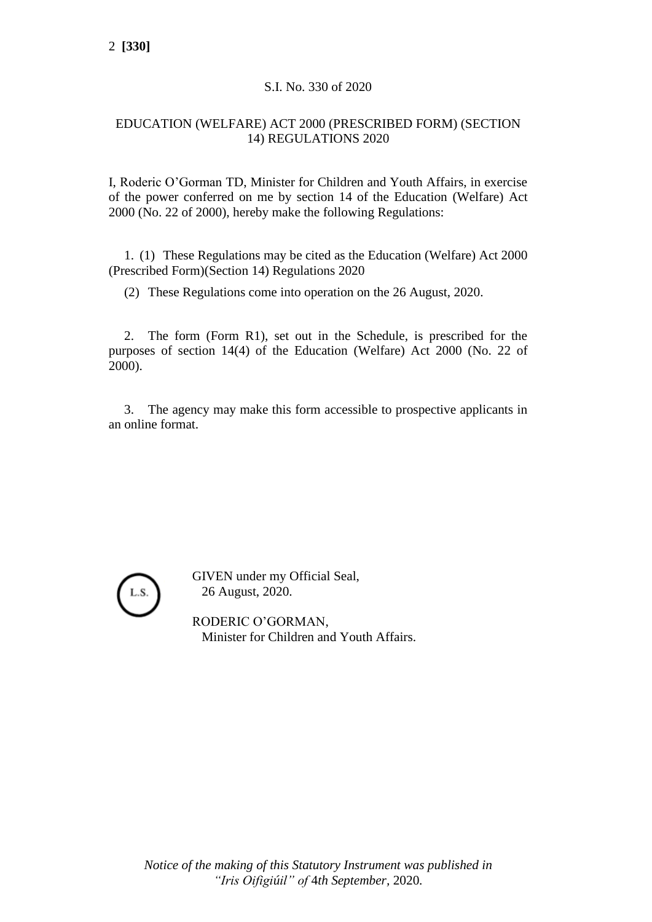#### S.I. No. 330 of 2020

#### EDUCATION (WELFARE) ACT 2000 (PRESCRIBED FORM) (SECTION 14) REGULATIONS 2020

I, Roderic O'Gorman TD, Minister for Children and Youth Affairs, in exercise of the power conferred on me by section 14 of the Education (Welfare) Act 2000 (No. 22 of 2000), hereby make the following Regulations:

1. (1) These Regulations may be cited as the Education (Welfare) Act 2000 (Prescribed Form)(Section 14) Regulations 2020

(2) These Regulations come into operation on the 26 August, 2020.

2. The form (Form R1), set out in the Schedule, is prescribed for the purposes of section 14(4) of the Education (Welfare) Act 2000 (No. 22 of 2000).

3. The agency may make this form accessible to prospective applicants in an online format.



GIVEN under my Official Seal, 26 August, 2020.

RODERIC O'GORMAN, Minister for Children and Youth Affairs.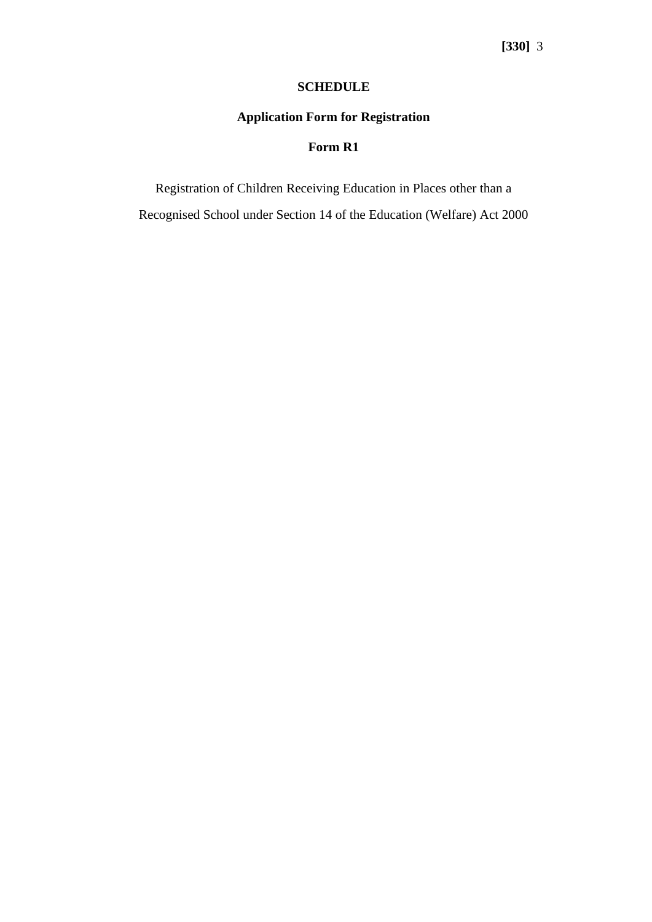#### **SCHEDULE**

# **Application Form for Registration**

### **Form R1**

Registration of Children Receiving Education in Places other than a

Recognised School under Section 14 of the Education (Welfare) Act 2000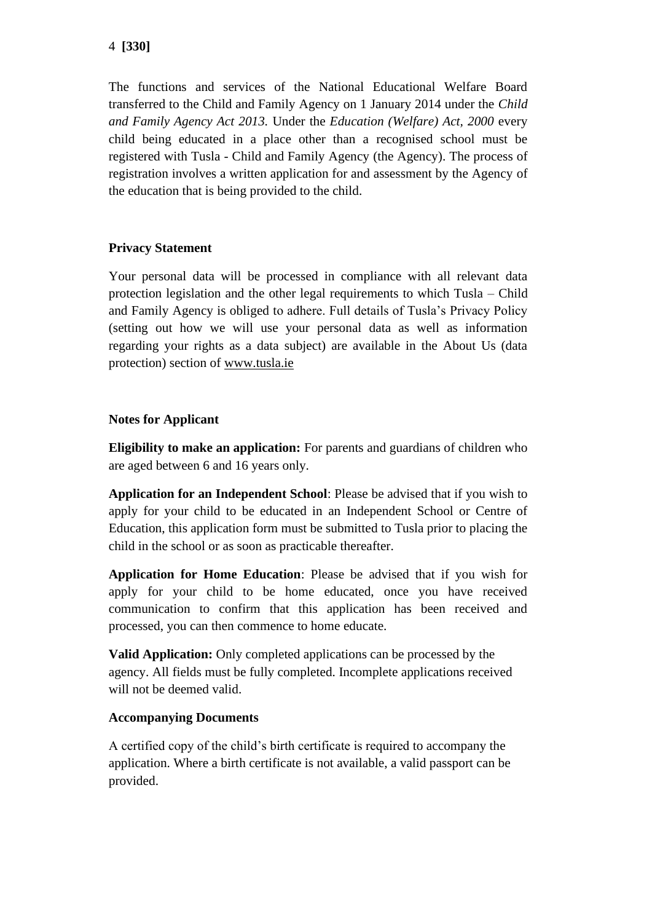The functions and services of the National Educational Welfare Board transferred to the Child and Family Agency on 1 January 2014 under the *Child and Family Agency Act 2013.* Under the *Education (Welfare) Act, 2000* every child being educated in a place other than a recognised school must be registered with Tusla - Child and Family Agency (the Agency). The process of registration involves a written application for and assessment by the Agency of the education that is being provided to the child.

## **Privacy Statement**

Your personal data will be processed in compliance with all relevant data protection legislation and the other legal requirements to which Tusla – Child and Family Agency is obliged to adhere. Full details of Tusla's Privacy Policy (setting out how we will use your personal data as well as information regarding your rights as a data subject) are available in the About Us (data protection) section of [www.tusla.ie](http://www.tusla.ie/)

## **Notes for Applicant**

**Eligibility to make an application:** For parents and guardians of children who are aged between 6 and 16 years only.

**Application for an Independent School**: Please be advised that if you wish to apply for your child to be educated in an Independent School or Centre of Education, this application form must be submitted to Tusla prior to placing the child in the school or as soon as practicable thereafter.

**Application for Home Education**: Please be advised that if you wish for apply for your child to be home educated, once you have received communication to confirm that this application has been received and processed, you can then commence to home educate.

**Valid Application:** Only completed applications can be processed by the agency. All fields must be fully completed. Incomplete applications received will not be deemed valid.

### **Accompanying Documents**

A certified copy of the child's birth certificate is required to accompany the application. Where a birth certificate is not available, a valid passport can be provided.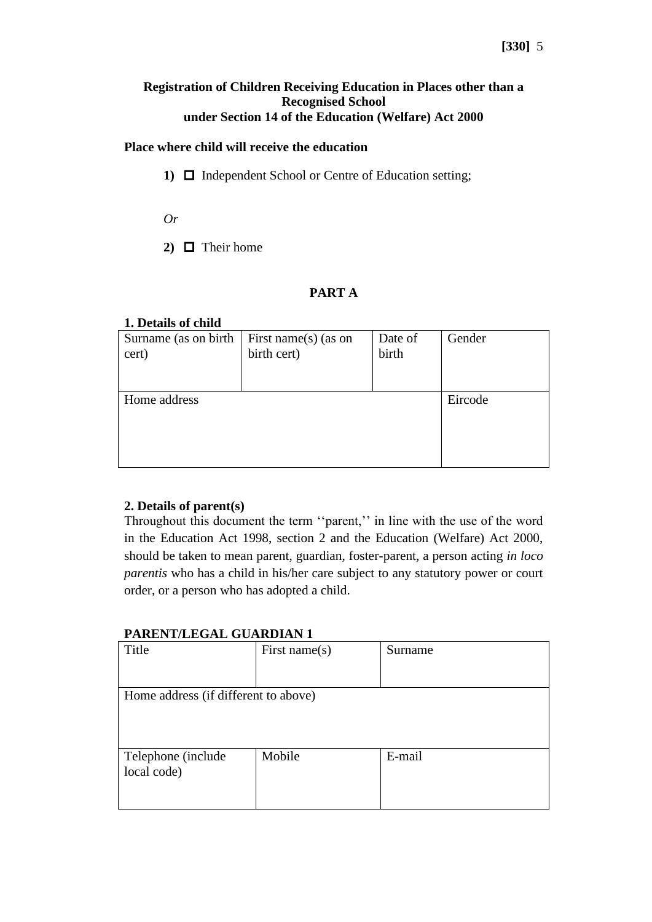#### **Registration of Children Receiving Education in Places other than a Recognised School under Section 14 of the Education (Welfare) Act 2000**

#### **Place where child will receive the education**

- 1)  $\Box$  Independent School or Centre of Education setting;
- *Or*
- 2)  $\Box$  Their home

### **PART A**

#### **1. Details of child**

| Surname (as on birth) | First name(s) (as on | Date of | Gender  |
|-----------------------|----------------------|---------|---------|
| cert)                 | birth cert)          | birth   |         |
| Home address          |                      |         | Eircode |

### **2. Details of parent(s)**

Throughout this document the term ''parent,'' in line with the use of the word in the Education Act 1998, section 2 and the Education (Welfare) Act 2000, should be taken to mean parent, guardian, foster-parent, a person acting *in loco parentis* who has a child in his/her care subject to any statutory power or court order, or a person who has adopted a child.

#### **PARENT/LEGAL GUARDIAN 1**

| Title                                | First name $(s)$ | Surname |
|--------------------------------------|------------------|---------|
|                                      |                  |         |
| Home address (if different to above) |                  |         |
|                                      |                  |         |
|                                      |                  |         |
| Telephone (include                   | Mobile           | E-mail  |
| local code)                          |                  |         |
|                                      |                  |         |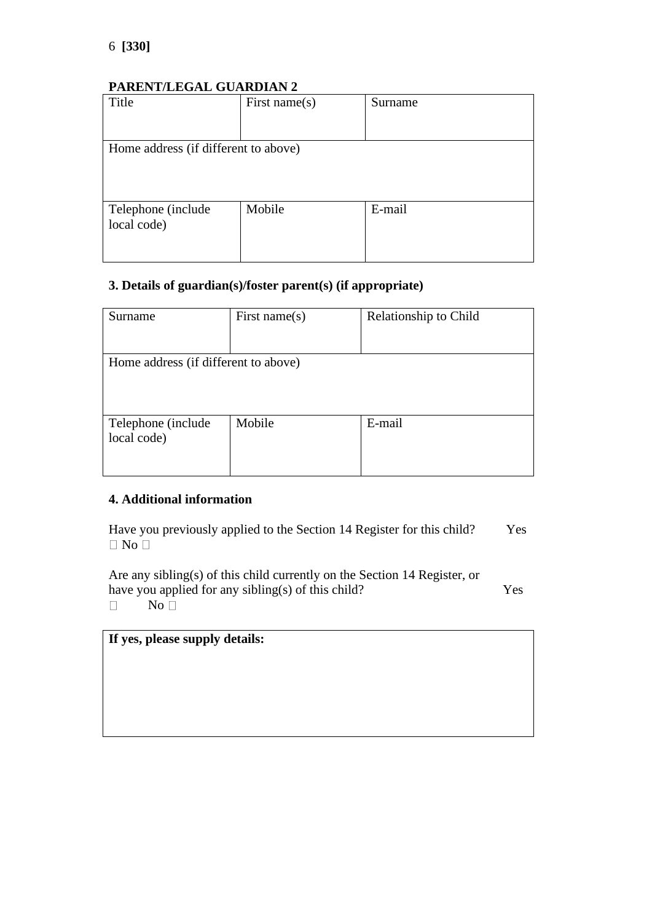### **PARENT/LEGAL GUARDIAN 2**

| Title                                | First name $(s)$ | Surname |
|--------------------------------------|------------------|---------|
|                                      |                  |         |
| Home address (if different to above) |                  |         |
|                                      |                  |         |
|                                      |                  |         |
| Telephone (include                   | Mobile           | E-mail  |
| local code)                          |                  |         |
|                                      |                  |         |
|                                      |                  |         |

## **3. Details of guardian(s)/foster parent(s) (if appropriate)**

| Surname                              | First name $(s)$ | Relationship to Child |
|--------------------------------------|------------------|-----------------------|
| Home address (if different to above) |                  |                       |
| Telephone (include)<br>local code)   | Mobile           | E-mail                |

#### **4. Additional information**

Have you previously applied to the Section 14 Register for this child? Yes  $\Box$  No  $\Box$ 

Are any sibling(s) of this child currently on the Section 14 Register, or have you applied for any sibling(s) of this child? Yes  $No<sup>T</sup>$  $\Box$ 

**If yes, please supply details:**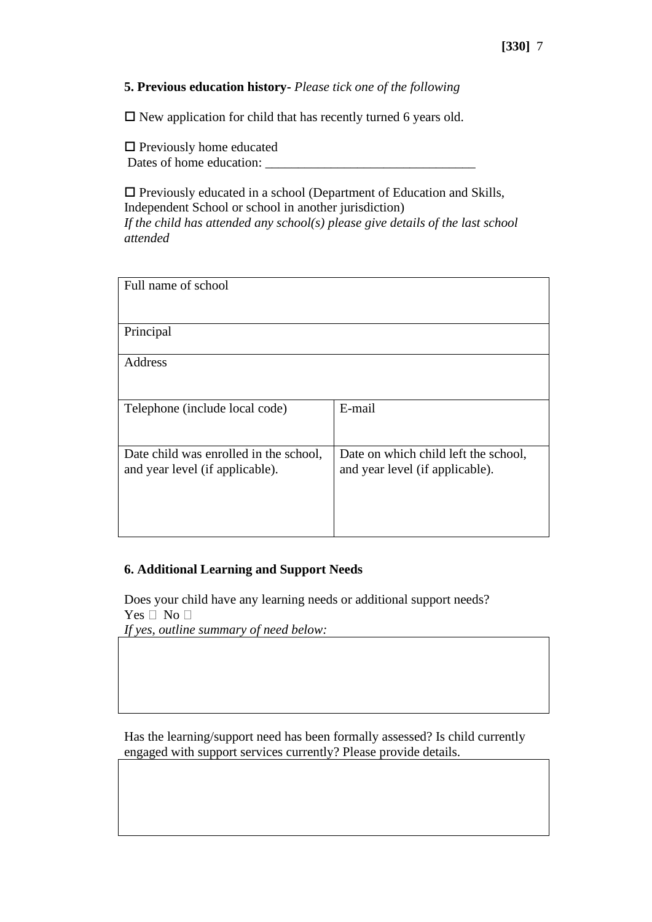#### **5. Previous education history-** *Please tick one of the following*

 $\Box$  New application for child that has recently turned 6 years old.

 $\square$  Previously home educated Dates of home education:

 $\Box$  Previously educated in a school (Department of Education and Skills, Independent School or school in another jurisdiction) *If the child has attended any school(s) please give details of the last school attended*

| Full name of school                                                       |                                                                         |
|---------------------------------------------------------------------------|-------------------------------------------------------------------------|
| Principal                                                                 |                                                                         |
| Address                                                                   |                                                                         |
| Telephone (include local code)                                            | E-mail                                                                  |
| Date child was enrolled in the school,<br>and year level (if applicable). | Date on which child left the school,<br>and year level (if applicable). |

#### **6. Additional Learning and Support Needs**

Does your child have any learning needs or additional support needs? Yes  $\Box$  No  $\Box$ *If yes, outline summary of need below:*

Has the learning/support need has been formally assessed? Is child currently engaged with support services currently? Please provide details.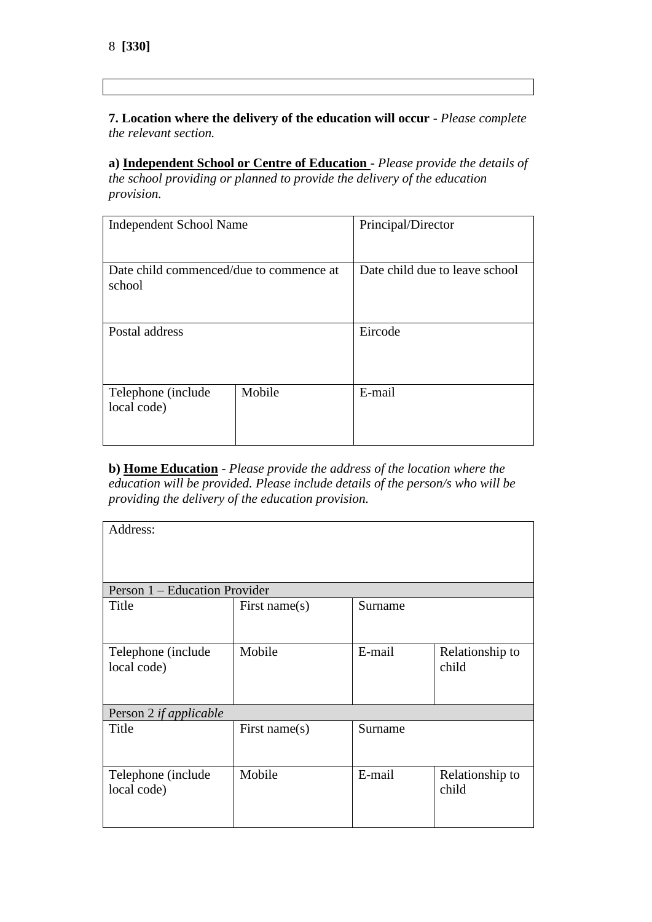**7. Location where the delivery of the education will occur** - *Please complete the relevant section.*

**a) Independent School or Centre of Education** - *Please provide the details of the school providing or planned to provide the delivery of the education provision.*

| <b>Independent School Name</b>                    |        | Principal/Director             |  |
|---------------------------------------------------|--------|--------------------------------|--|
| Date child commenced/due to commence at<br>school |        | Date child due to leave school |  |
| Postal address                                    |        | Eircode                        |  |
| Telephone (include)<br>local code)                | Mobile | E-mail                         |  |

**b) Home Education** - *Please provide the address of the location where the education will be provided. Please include details of the person/s who will be providing the delivery of the education provision.*

| Address:                          |                  |         |                          |
|-----------------------------------|------------------|---------|--------------------------|
| Person 1 – Education Provider     |                  |         |                          |
| Title                             | First name $(s)$ | Surname |                          |
| Telephone (include<br>local code) | Mobile           | E-mail  | Relationship to<br>child |
| Person 2 if applicable            |                  |         |                          |
| Title                             | First name(s)    | Surname |                          |
| Telephone (include<br>local code) | Mobile           | E-mail  | Relationship to<br>child |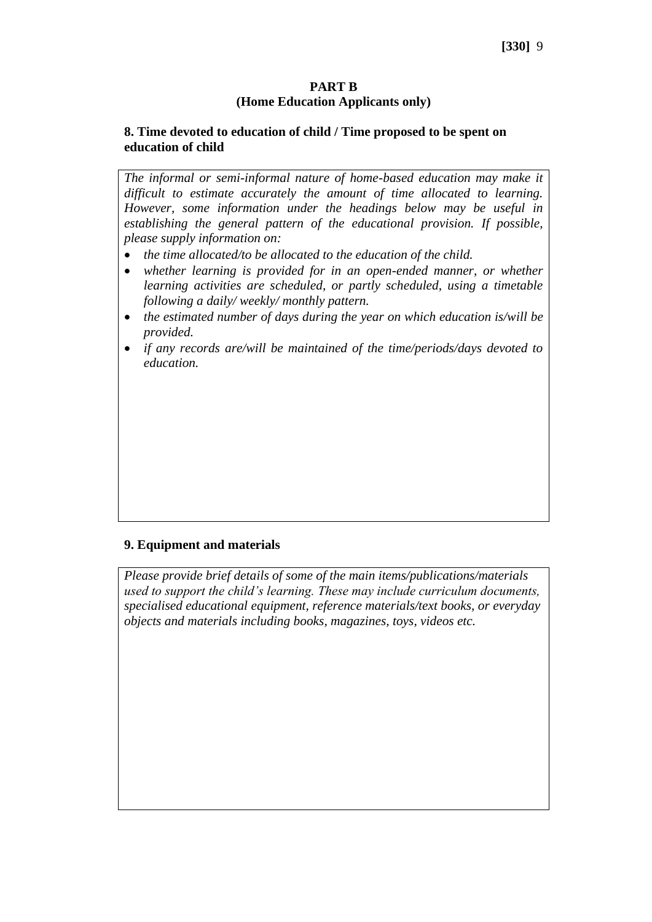#### **PART B (Home Education Applicants only)**

#### **8. Time devoted to education of child / Time proposed to be spent on education of child**

*The informal or semi-informal nature of home-based education may make it difficult to estimate accurately the amount of time allocated to learning. However, some information under the headings below may be useful in establishing the general pattern of the educational provision. If possible, please supply information on:*

- *the time allocated/to be allocated to the education of the child.*
- *whether learning is provided for in an open-ended manner, or whether learning activities are scheduled, or partly scheduled, using a timetable following a daily/ weekly/ monthly pattern.*
- *the estimated number of days during the year on which education is/will be provided.*
- *if any records are/will be maintained of the time/periods/days devoted to education.*

### **9. Equipment and materials**

*Please provide brief details of some of the main items/publications/materials used to support the child's learning. These may include curriculum documents, specialised educational equipment, reference materials/text books, or everyday objects and materials including books, magazines, toys, videos etc.*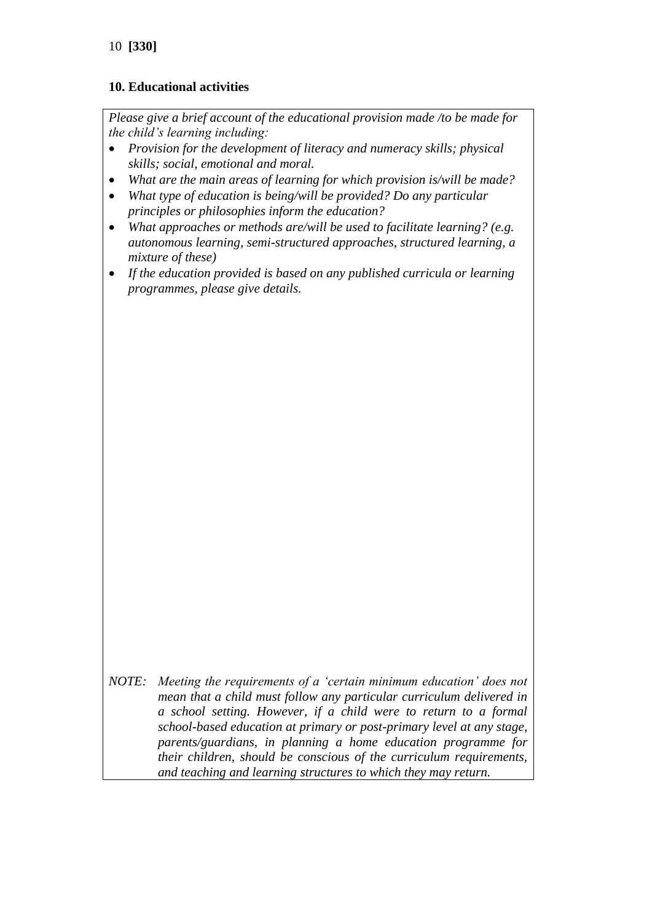### **10. Educational activities**

*Please give a brief account of the educational provision made /to be made for the child's learning including:*

- *Provision for the development of literacy and numeracy skills; physical skills; social, emotional and moral.*
- *What are the main areas of learning for which provision is/will be made?*
- *What type of education is being/will be provided? Do any particular principles or philosophies inform the education?*
- *What approaches or methods are/will be used to facilitate learning? (e.g. autonomous learning, semi-structured approaches, structured learning, a mixture of these)*
- *If the education provided is based on any published curricula or learning programmes, please give details.*

*NOTE: Meeting the requirements of a 'certain minimum education' does not mean that a child must follow any particular curriculum delivered in a school setting. However, if a child were to return to a formal school-based education at primary or post-primary level at any stage, parents/guardians, in planning a home education programme for their children, should be conscious of the curriculum requirements, and teaching and learning structures to which they may return.*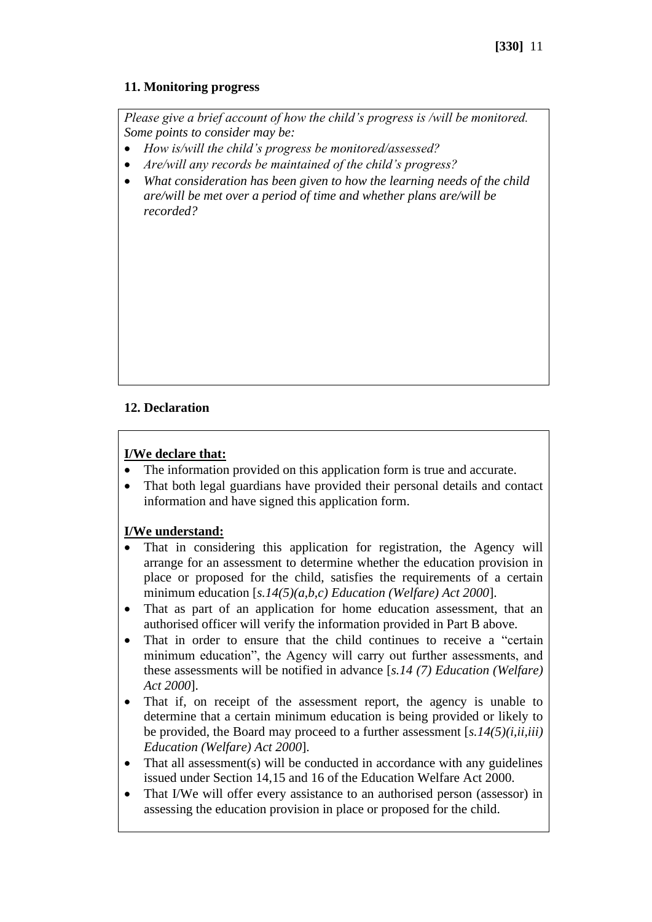### **11. Monitoring progress**

*Please give a brief account of how the child's progress is /will be monitored. Some points to consider may be:*

- *How is/will the child's progress be monitored/assessed?*
- *Are/will any records be maintained of the child's progress?*
- *What consideration has been given to how the learning needs of the child are/will be met over a period of time and whether plans are/will be recorded?*

## **12. Declaration**

#### **I/We declare that:**

- The information provided on this application form is true and accurate.
- That both legal guardians have provided their personal details and contact information and have signed this application form.

### **I/We understand:**

- That in considering this application for registration, the Agency will arrange for an assessment to determine whether the education provision in place or proposed for the child, satisfies the requirements of a certain minimum education [*s.14(5)(a,b,c) Education (Welfare) Act 2000*].
- That as part of an application for home education assessment, that an authorised officer will verify the information provided in Part B above.
- That in order to ensure that the child continues to receive a "certain" minimum education", the Agency will carry out further assessments, and these assessments will be notified in advance [*s.14 (7) Education (Welfare) Act 2000*].
- That if, on receipt of the assessment report, the agency is unable to determine that a certain minimum education is being provided or likely to be provided, the Board may proceed to a further assessment [*s.14(5)(i,ii,iii) Education (Welfare) Act 2000*].
- That all assessment(s) will be conducted in accordance with any guidelines issued under Section 14,15 and 16 of the Education Welfare Act 2000.
- That I/We will offer every assistance to an authorised person (assessor) in assessing the education provision in place or proposed for the child.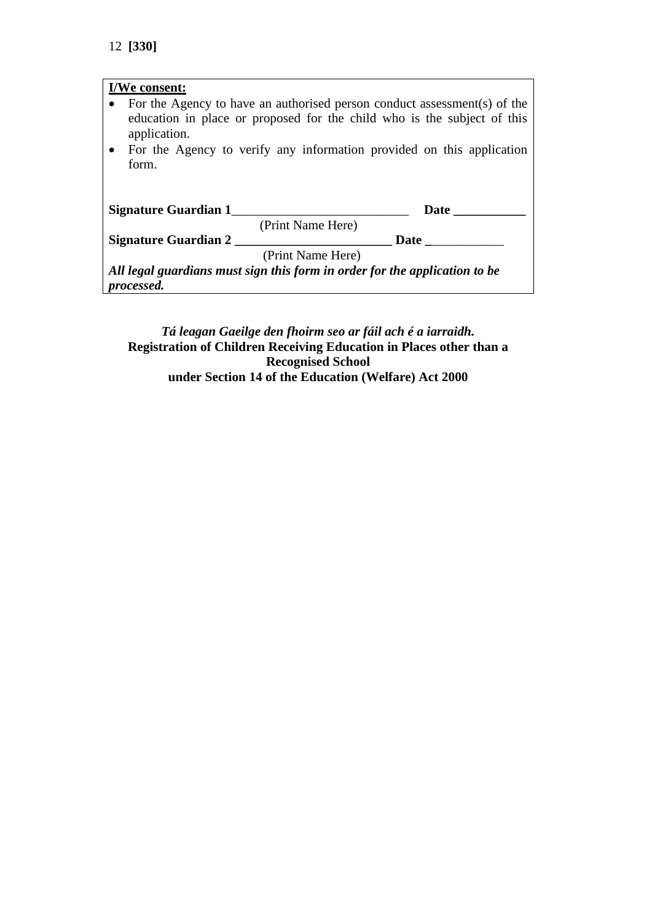| I/We consent:                                                              |
|----------------------------------------------------------------------------|
| For the Agency to have an authorised person conduct assessment(s) of the   |
| education in place or proposed for the child who is the subject of this    |
| application.                                                               |
| • For the Agency to verify any information provided on this application    |
| form.                                                                      |
|                                                                            |
|                                                                            |
| Signature Guardian 1<br><b>Date</b>                                        |
| (Print Name Here)                                                          |
| <b>Signature Guardian 2</b><br>Date                                        |
| (Print Name Here)                                                          |
| All legal guardians must sign this form in order for the application to be |
| <i>processed.</i>                                                          |

## *Tá leagan Gaeilge den fhoirm seo ar fáil ach é a iarraidh.* **Registration of Children Receiving Education in Places other than a Recognised School under Section 14 of the Education (Welfare) Act 2000**